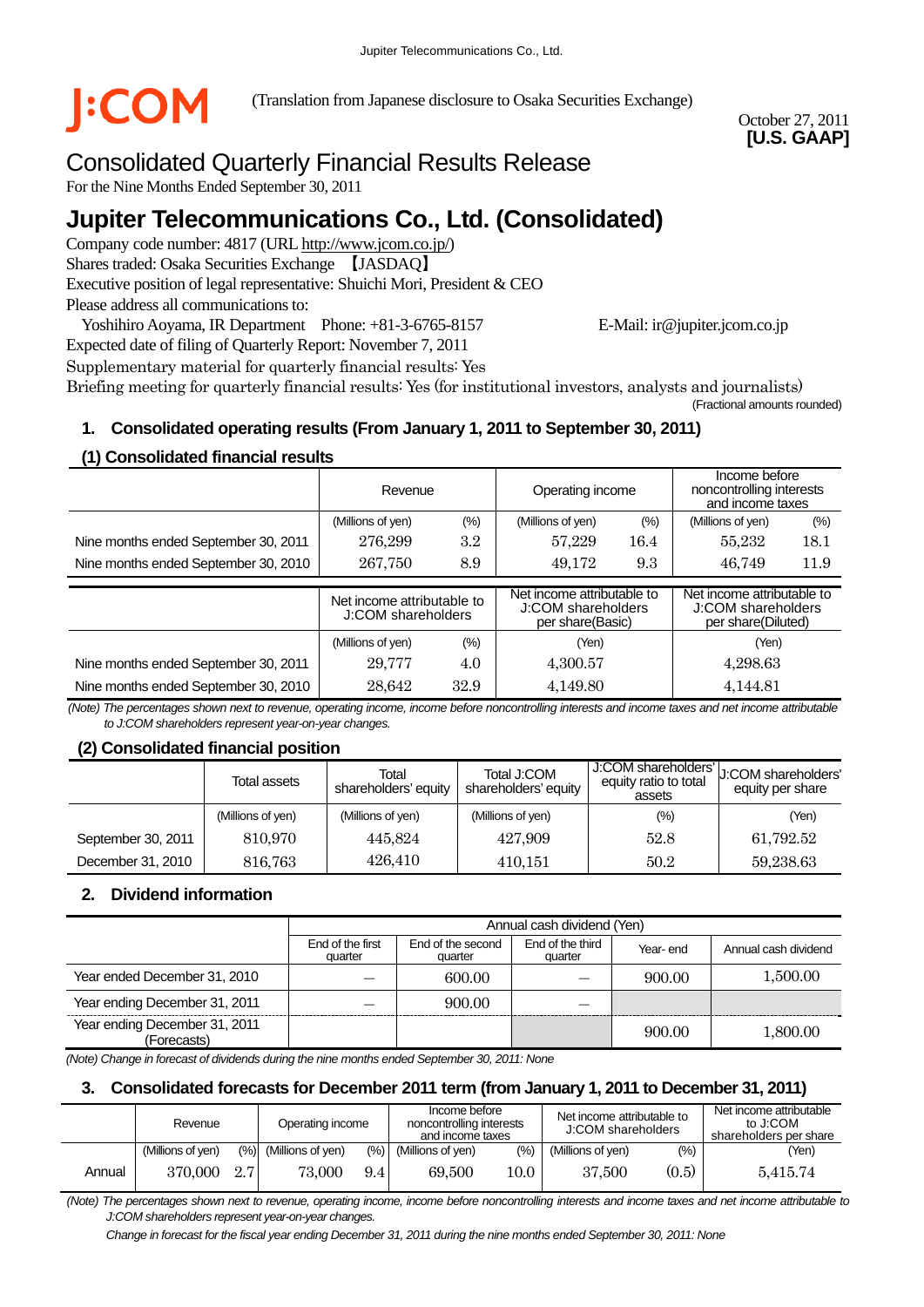

(Translation from Japanese disclosure to Osaka Securities Exchange)

October 27, 2011 **[U.S. GAAP]** 

# Consolidated Quarterly Financial Results Release

For the Nine Months Ended September 30, 2011

# **Jupiter Telecommunications Co., Ltd. (Consolidated)**

Company code number: 4817 (URL http://www.jcom.co.jp/) Shares traded: Osaka Securities Exchange 【JASDAQ】 Executive position of legal representative: Shuichi Mori, President & CEO Please address all communications to:

Yoshihiro Aoyama, IR Department Phone: +81-3-6765-8157 E-Mail: ir@jupiter.jcom.co.jp Expected date of filing of Quarterly Report: November 7, 2011

Supplementary material for quarterly financial results: Yes Briefing meeting for quarterly financial results: Yes (for institutional investors, analysts and journalists) (Fractional amounts rounded)

### **1. Consolidated operating results (From January 1, 2011 to September 30, 2011)**

#### **(1) Consolidated financial results**

|                                      | Revenue                                          |         | Operating income                                                     |        | Income before<br>noncontrolling interests<br>and income taxes          |        |
|--------------------------------------|--------------------------------------------------|---------|----------------------------------------------------------------------|--------|------------------------------------------------------------------------|--------|
|                                      | (%)<br>(Millions of yen)                         |         | (Millions of yen)                                                    | $(\%)$ | (Millions of yen)                                                      | $(\%)$ |
| Nine months ended September 30, 2011 | 276,299                                          | $3.2\,$ | 57,229                                                               | 16.4   | 55,232                                                                 | 18.1   |
| Nine months ended September 30, 2010 | 267,750<br>8.9                                   |         | 49.172                                                               | 9.3    |                                                                        | 11.9   |
|                                      | Net income attributable to<br>J:COM shareholders |         |                                                                      |        |                                                                        |        |
|                                      |                                                  |         | Net income attributable to<br>J:COM shareholders<br>per share(Basic) |        | Net income attributable to<br>J:COM shareholders<br>per share(Diluted) |        |
|                                      | (Millions of yen)                                | (%)     | (Yen)                                                                |        | (Yen)                                                                  |        |
| Nine months ended September 30, 2011 | 29,777                                           | 4.0     | 4,300.57                                                             |        | 4,298.63                                                               |        |

*(Note) The percentages shown next to revenue, operating income, income before noncontrolling interests and income taxes and net income attributable to J:COM shareholders represent year-on-year changes.* 

#### **(2) Consolidated financial position**

|                    | Total<br>Total assets<br>shareholders' equity |                   | Total J:COM<br>shareholders' equity | J:COM shareholders'<br>equity ratio to total<br>assets | U:COM shareholders'<br>equity per share |
|--------------------|-----------------------------------------------|-------------------|-------------------------------------|--------------------------------------------------------|-----------------------------------------|
|                    | (Millions of yen)                             | (Millions of yen) | (Millions of yen)                   | $(\% )$                                                | (Yen)                                   |
| September 30, 2011 | 810.970                                       | 445.824           | 427,909                             | 52.8                                                   | 61,792.52                               |
| December 31, 2010  | 816,763                                       | 426,410           | 410,151                             | 50.2                                                   | 59,238.63                               |

#### **2. Dividend information**

|                                              | Annual cash dividend (Yen)  |                              |                             |          |                      |  |  |
|----------------------------------------------|-----------------------------|------------------------------|-----------------------------|----------|----------------------|--|--|
|                                              | End of the first<br>quarter | End of the second<br>quarter | End of the third<br>quarter | Year-end | Annual cash dividend |  |  |
| Year ended December 31, 2010                 |                             | 600.00                       |                             | 900.00   | 1,500.00             |  |  |
| Year ending December 31, 2011                |                             | 900.00                       |                             |          |                      |  |  |
| Year ending December 31, 2011<br>(Forecasts) |                             |                              |                             | 900.00   | 1,800.00             |  |  |

*(Note) Change in forecast of dividends during the nine months ended September 30, 2011: None*

#### **3. Consolidated forecasts for December 2011 term (from January 1, 2011 to December 31, 2011)**

|        | Revenue           |     | Operating income      |      |                   | Income before<br>noncontrolling interests<br>and income taxes |                   | Net income attributable to<br>J:COM shareholders | Net income attributable<br>to J:COM<br>shareholders per share |
|--------|-------------------|-----|-----------------------|------|-------------------|---------------------------------------------------------------|-------------------|--------------------------------------------------|---------------------------------------------------------------|
|        | (Millions of ven) |     | (%) (Millions of yen) | (% ) | (Millions of ven) | $\frac{(0)}{0}$                                               | (Millions of yen) | (%)                                              | (Yen)                                                         |
| Annual | 370,000           | 2.7 | 73,000                | 9.4  | 69.500            | 10.0                                                          | 37,500            | (0.5)                                            | 5.415.74                                                      |

*(Note) The percentages shown next to revenue, operating income, income before noncontrolling interests and income taxes and net income attributable to J:COM shareholders represent year-on-year changes.* 

*Change in forecast for the fiscal year ending December 31, 2011 during the nine months ended September 30, 2011: None*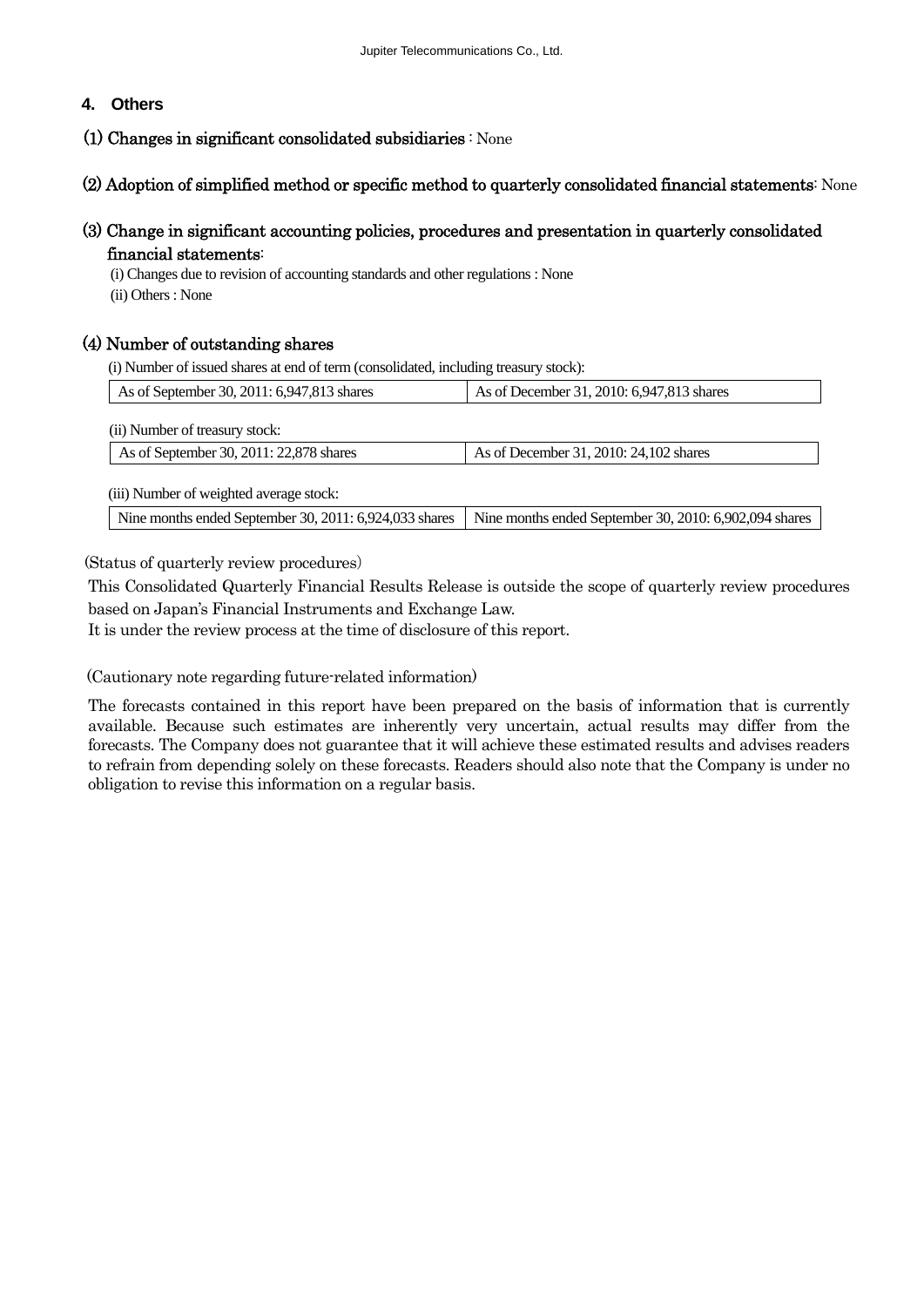### **4. Others**

#### (1) Changes in significant consolidated subsidiaries : None

#### (2) Adoption of simplified method or specific method to quarterly consolidated financial statements: None

# (3) Change in significant accounting policies, procedures and presentation in quarterly consolidated financial statements:

(i) Changes due to revision of accounting standards and other regulations : None (ii) Others : None

### (4) Number of outstanding shares

(i) Number of issued shares at end of term (consolidated, including treasury stock):

| As of December 31, 2010: 6,947,813 shares              |  |  |  |
|--------------------------------------------------------|--|--|--|
|                                                        |  |  |  |
|                                                        |  |  |  |
| As of December 31, 2010: 24, 102 shares                |  |  |  |
|                                                        |  |  |  |
|                                                        |  |  |  |
| Nine months ended September 30, 2010: 6,902,094 shares |  |  |  |
|                                                        |  |  |  |

(Status of quarterly review procedures)

This Consolidated Quarterly Financial Results Release is outside the scope of quarterly review procedures based on Japan's Financial Instruments and Exchange Law.

It is under the review process at the time of disclosure of this report.

(Cautionary note regarding future-related information)

The forecasts contained in this report have been prepared on the basis of information that is currently available. Because such estimates are inherently very uncertain, actual results may differ from the forecasts. The Company does not guarantee that it will achieve these estimated results and advises readers to refrain from depending solely on these forecasts. Readers should also note that the Company is under no obligation to revise this information on a regular basis.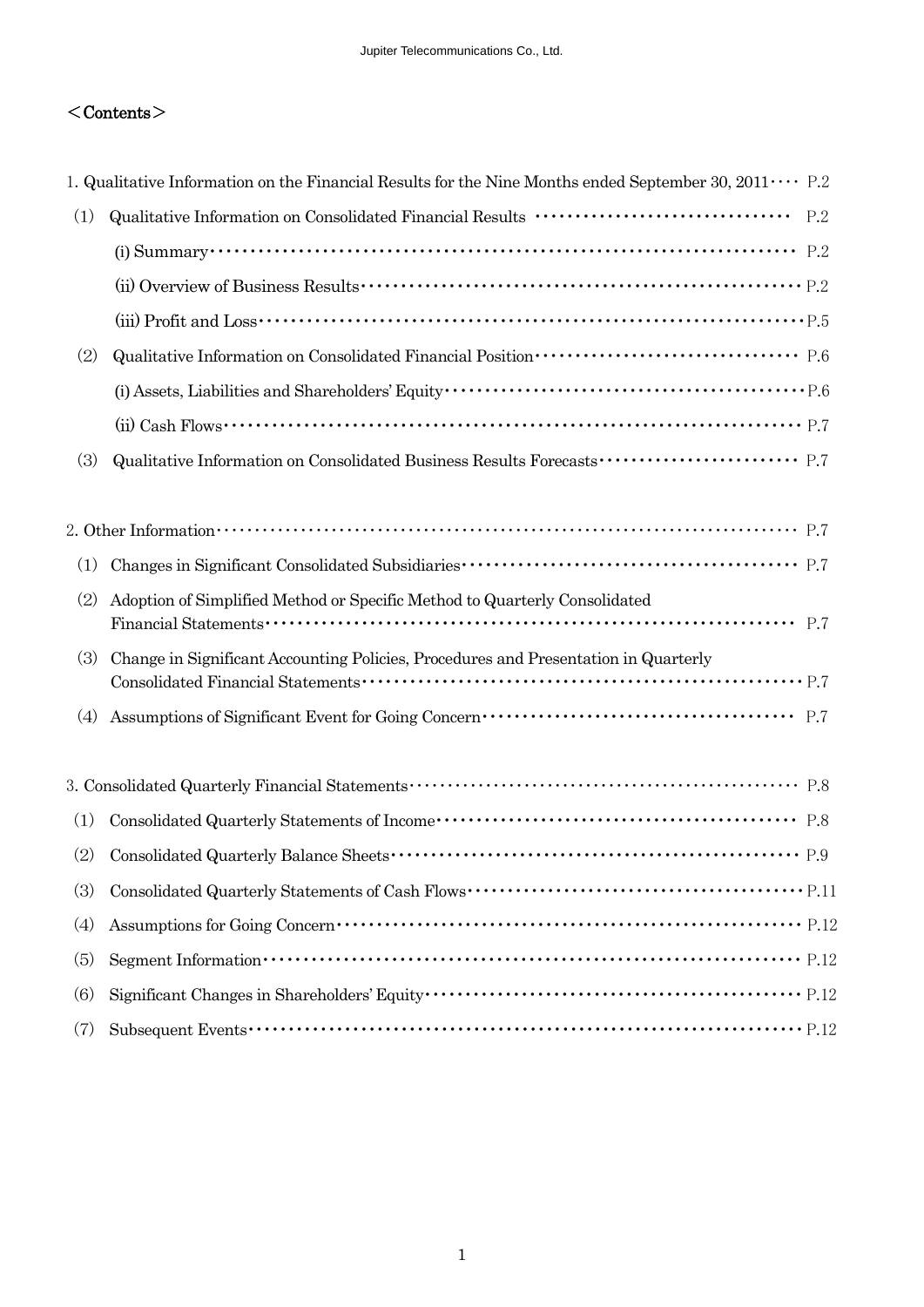# $<$ Contents $>$

|     | 1. Qualitative Information on the Financial Results for the Nine Months ended September 30, $2011 \cdots$ P.2                                                                                                                                                                                                                     |  |
|-----|-----------------------------------------------------------------------------------------------------------------------------------------------------------------------------------------------------------------------------------------------------------------------------------------------------------------------------------|--|
| (1) |                                                                                                                                                                                                                                                                                                                                   |  |
|     | (i) Summary $\cdots$ $\cdots$ $\cdots$ $\cdots$ $\cdots$ $\cdots$ $\cdots$ $\cdots$ $\cdots$ $\cdots$ $\cdots$ $\cdots$ $\cdots$ $\cdots$ $\cdots$ $\cdots$ $\cdots$ $\cdots$ $\cdots$ $\cdots$ $\cdots$                                                                                                                          |  |
|     |                                                                                                                                                                                                                                                                                                                                   |  |
|     |                                                                                                                                                                                                                                                                                                                                   |  |
| (2) |                                                                                                                                                                                                                                                                                                                                   |  |
|     |                                                                                                                                                                                                                                                                                                                                   |  |
|     | (ii) Cash Flows $\cdots$ $\cdots$ $\cdots$ $\cdots$ $\cdots$ $\cdots$ $\cdots$ $\cdots$ $\cdots$ $\cdots$ $\cdots$ $\cdots$ $\cdots$ $\cdots$ $\cdots$ $\cdots$ $\cdots$ $\cdots$ $\cdots$ $\cdots$ $\cdots$ $\cdots$ $\cdots$ $\cdots$ $\cdots$ $\cdots$ $\cdots$ $\cdots$ $\cdots$ $\cdots$ $\cdots$ $\cdots$ $\cdots$ $\cdots$ |  |
| (3) |                                                                                                                                                                                                                                                                                                                                   |  |
|     |                                                                                                                                                                                                                                                                                                                                   |  |
|     | 2. Other Information $\cdots$ $\cdots$ $\cdots$ $\cdots$ $\cdots$ $\cdots$ $\cdots$ $\cdots$ $\cdots$ $\cdots$ $\cdots$ $\cdots$ $\cdots$ $\cdots$ $\cdots$ $\cdots$ $\cdots$ $\cdots$ $\cdots$ $\cdots$ $\cdots$ $\cdots$ $\cdots$ $\cdots$ $\cdots$ $\cdots$ $\cdots$ $\cdots$ $\cdots$ $\cdots$ $\cdots$ $\cdots$ $\cdots$ $\$ |  |
| (1) |                                                                                                                                                                                                                                                                                                                                   |  |
| (2) | Adoption of Simplified Method or Specific Method to Quarterly Consolidated                                                                                                                                                                                                                                                        |  |
|     |                                                                                                                                                                                                                                                                                                                                   |  |
| (3) | Change in Significant Accounting Policies, Procedures and Presentation in Quarterly                                                                                                                                                                                                                                               |  |
| (4) |                                                                                                                                                                                                                                                                                                                                   |  |
|     |                                                                                                                                                                                                                                                                                                                                   |  |
|     |                                                                                                                                                                                                                                                                                                                                   |  |
| (1) |                                                                                                                                                                                                                                                                                                                                   |  |
| (2) |                                                                                                                                                                                                                                                                                                                                   |  |
| (3) |                                                                                                                                                                                                                                                                                                                                   |  |
| (4) |                                                                                                                                                                                                                                                                                                                                   |  |
| (5) |                                                                                                                                                                                                                                                                                                                                   |  |
| (6) |                                                                                                                                                                                                                                                                                                                                   |  |
| (7) |                                                                                                                                                                                                                                                                                                                                   |  |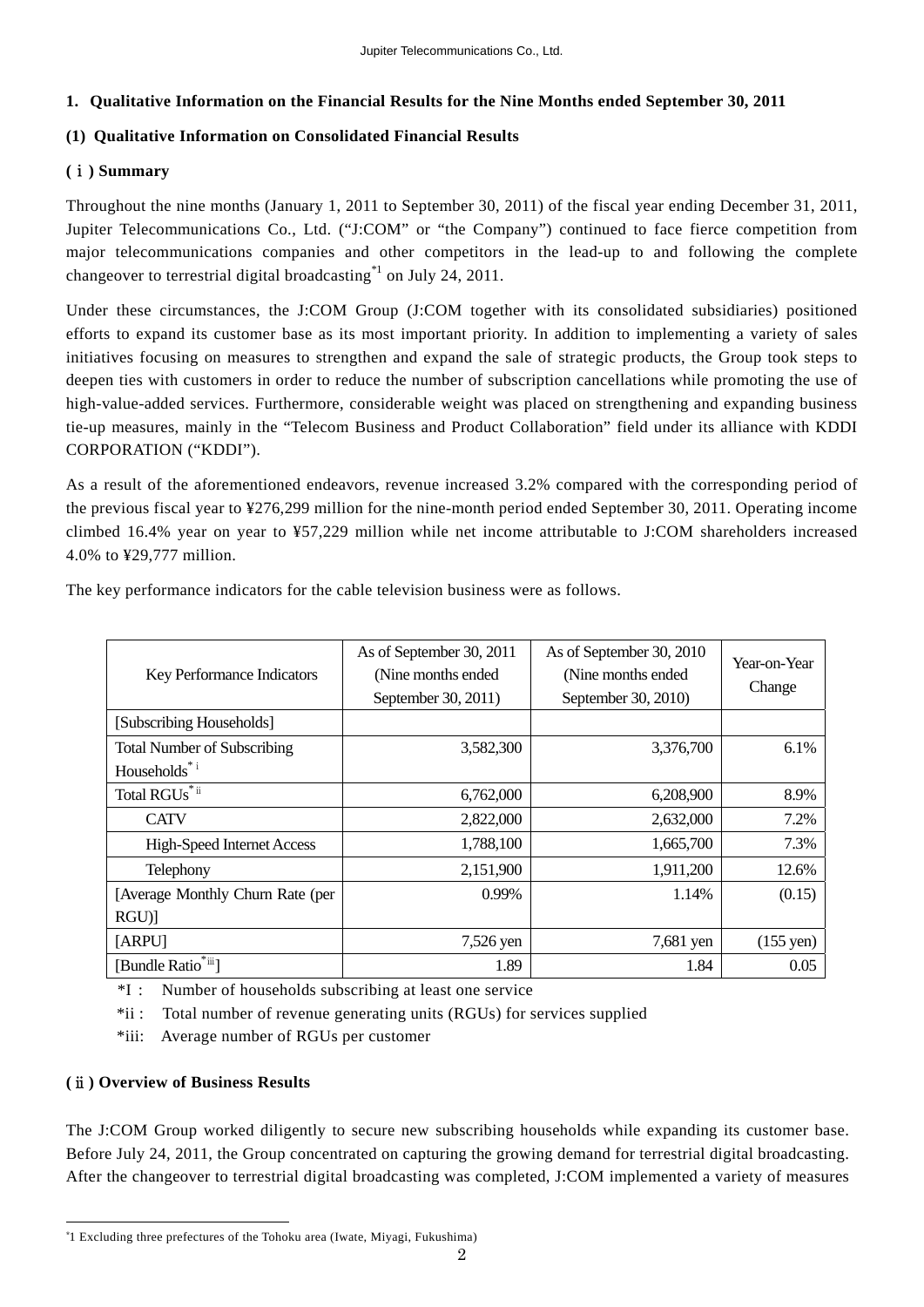#### **1. Qualitative Information on the Financial Results for the Nine Months ended September 30, 2011**

#### **(1) Qualitative Information on Consolidated Financial Results**

#### **(**ⅰ**) Summary**

Throughout the nine months (January 1, 2011 to September 30, 2011) of the fiscal year ending December 31, 2011, Jupiter Telecommunications Co., Ltd. ("J:COM" or "the Company") continued to face fierce competition from major telecommunications companies and other competitors in the lead-up to and following the complete changeover to terrestrial digital broadcasting\*1 on July 24, 2011.

Under these circumstances, the J:COM Group (J:COM together with its consolidated subsidiaries) positioned efforts to expand its customer base as its most important priority. In addition to implementing a variety of sales initiatives focusing on measures to strengthen and expand the sale of strategic products, the Group took steps to deepen ties with customers in order to reduce the number of subscription cancellations while promoting the use of high-value-added services. Furthermore, considerable weight was placed on strengthening and expanding business tie-up measures, mainly in the "Telecom Business and Product Collaboration" field under its alliance with KDDI CORPORATION ("KDDI").

As a result of the aforementioned endeavors, revenue increased 3.2% compared with the corresponding period of the previous fiscal year to ¥276,299 million for the nine-month period ended September 30, 2011. Operating income climbed 16.4% year on year to ¥57,229 million while net income attributable to J:COM shareholders increased 4.0% to ¥29,777 million.

| Key Performance Indicators                | As of September 30, 2011<br>(Nine months ended)<br>September 30, 2011) | As of September 30, 2010<br>(Nine months ended)<br>September 30, 2010) | Year-on-Year<br>Change |
|-------------------------------------------|------------------------------------------------------------------------|------------------------------------------------------------------------|------------------------|
| [Subscribing Households]                  |                                                                        |                                                                        |                        |
| <b>Total Number of Subscribing</b>        | 3,582,300                                                              | 3,376,700                                                              | 6.1%                   |
| Households* <sup>i</sup>                  |                                                                        |                                                                        |                        |
| Total $\mathbf{RGUs}^{\ast\,\mathsf{ii}}$ | 6,762,000                                                              | 6,208,900                                                              | 8.9%                   |
| <b>CATV</b>                               | 2,822,000                                                              | 2,632,000                                                              | 7.2%                   |
| <b>High-Speed Internet Access</b>         | 1,788,100                                                              | 1,665,700                                                              | 7.3%                   |
| Telephony                                 | 2,151,900                                                              | 1,911,200                                                              | 12.6%                  |
| [Average Monthly Churn Rate (per          | $0.99\%$                                                               | 1.14%                                                                  | (0.15)                 |
| $RGU$ ]                                   |                                                                        |                                                                        |                        |
| [ARPU]                                    | 7,526 yen                                                              | 7,681 yen                                                              | $(155 \text{ yen})$    |
| [Bundle Ratio <sup>*iii</sup> ]           | 1.89                                                                   | 1.84                                                                   | 0.05                   |

The key performance indicators for the cable television business were as follows.

\*I : Number of households subscribing at least one service

\*ii : Total number of revenue generating units (RGUs) for services supplied

\*iii: Average number of RGUs per customer

#### **(**ⅱ**) Overview of Business Results**

 $\overline{a}$ 

The J:COM Group worked diligently to secure new subscribing households while expanding its customer base. Before July 24, 2011, the Group concentrated on capturing the growing demand for terrestrial digital broadcasting. After the changeover to terrestrial digital broadcasting was completed, J:COM implemented a variety of measures

<sup>\*</sup>1 Excluding three prefectures of the Tohoku area (Iwate, Miyagi, Fukushima)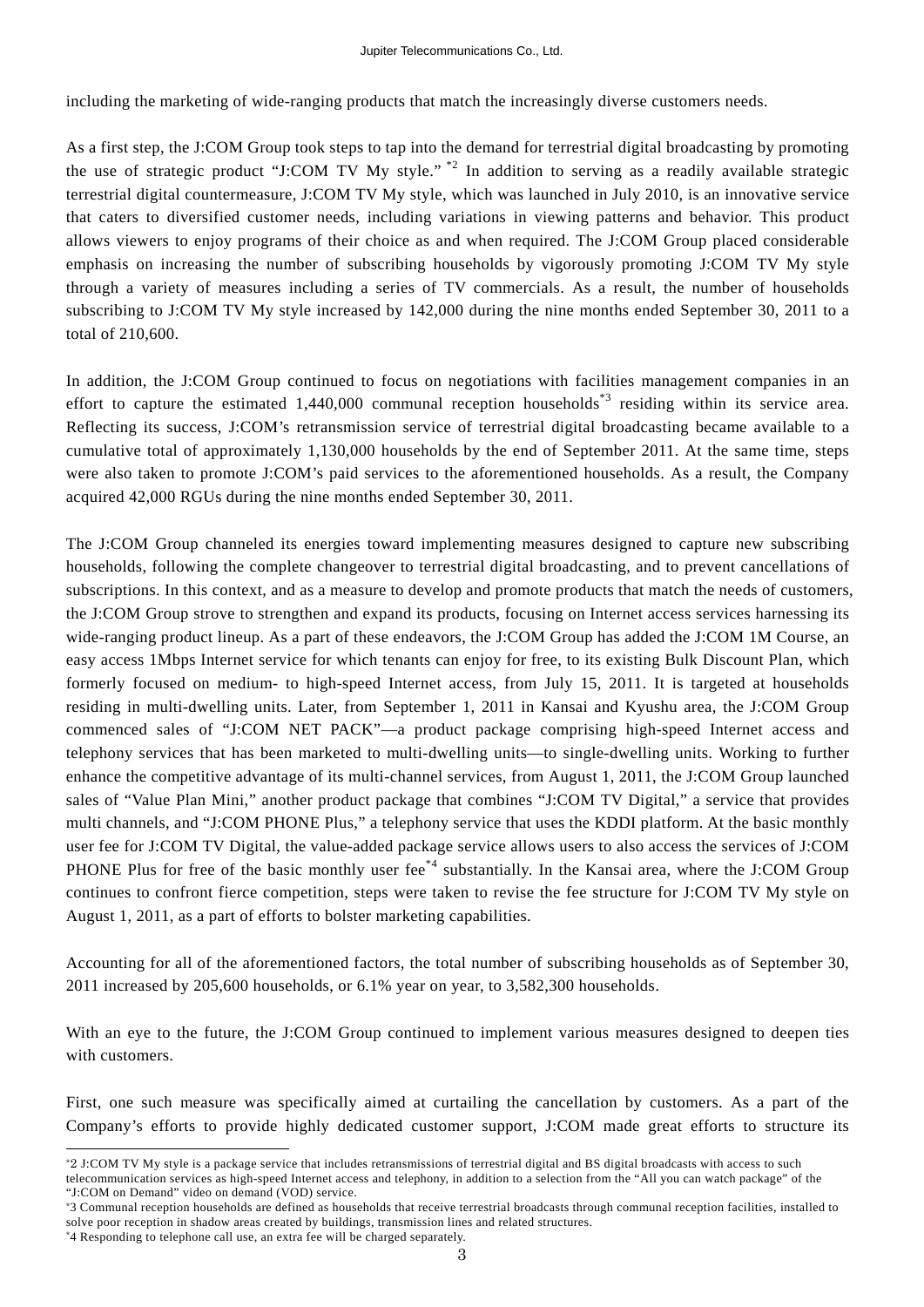including the marketing of wide-ranging products that match the increasingly diverse customers needs.

As a first step, the J:COM Group took steps to tap into the demand for terrestrial digital broadcasting by promoting the use of strategic product "J:COM TV My style." \*2 In addition to serving as a readily available strategic terrestrial digital countermeasure, J:COM TV My style, which was launched in July 2010, is an innovative service that caters to diversified customer needs, including variations in viewing patterns and behavior. This product allows viewers to enjoy programs of their choice as and when required. The J:COM Group placed considerable emphasis on increasing the number of subscribing households by vigorously promoting J:COM TV My style through a variety of measures including a series of TV commercials. As a result, the number of households subscribing to J:COM TV My style increased by 142,000 during the nine months ended September 30, 2011 to a total of 210,600.

In addition, the J:COM Group continued to focus on negotiations with facilities management companies in an effort to capture the estimated 1,440,000 communal reception households<sup> $*3$ </sup> residing within its service area. Reflecting its success, J:COM's retransmission service of terrestrial digital broadcasting became available to a cumulative total of approximately 1,130,000 households by the end of September 2011. At the same time, steps were also taken to promote J:COM's paid services to the aforementioned households. As a result, the Company acquired 42,000 RGUs during the nine months ended September 30, 2011.

The J:COM Group channeled its energies toward implementing measures designed to capture new subscribing households, following the complete changeover to terrestrial digital broadcasting, and to prevent cancellations of subscriptions. In this context, and as a measure to develop and promote products that match the needs of customers, the J:COM Group strove to strengthen and expand its products, focusing on Internet access services harnessing its wide-ranging product lineup. As a part of these endeavors, the J:COM Group has added the J:COM 1M Course, an easy access 1Mbps Internet service for which tenants can enjoy for free, to its existing Bulk Discount Plan, which formerly focused on medium- to high-speed Internet access, from July 15, 2011. It is targeted at households residing in multi-dwelling units. Later, from September 1, 2011 in Kansai and Kyushu area, the J:COM Group commenced sales of "J:COM NET PACK"—a product package comprising high-speed Internet access and telephony services that has been marketed to multi-dwelling units—to single-dwelling units. Working to further enhance the competitive advantage of its multi-channel services, from August 1, 2011, the J:COM Group launched sales of "Value Plan Mini," another product package that combines "J:COM TV Digital," a service that provides multi channels, and "J:COM PHONE Plus," a telephony service that uses the KDDI platform. At the basic monthly user fee for J:COM TV Digital, the value-added package service allows users to also access the services of J:COM PHONE Plus for free of the basic monthly user fee<sup>\*4</sup> substantially. In the Kansai area, where the J:COM Group continues to confront fierce competition, steps were taken to revise the fee structure for J:COM TV My style on August 1, 2011, as a part of efforts to bolster marketing capabilities.

Accounting for all of the aforementioned factors, the total number of subscribing households as of September 30, 2011 increased by 205,600 households, or 6.1% year on year, to 3,582,300 households.

With an eye to the future, the J:COM Group continued to implement various measures designed to deepen ties with customers.

First, one such measure was specifically aimed at curtailing the cancellation by customers. As a part of the Company's efforts to provide highly dedicated customer support, J:COM made great efforts to structure its

 $\overline{a}$ \*2 J:COM TV My style is a package service that includes retransmissions of terrestrial digital and BS digital broadcasts with access to such

telecommunication services as high-speed Internet access and telephony, in addition to a selection from the "All you can watch package" of the "J:COM on Demand" video on demand (VOD) service.

<sup>\*</sup>3 Communal reception households are defined as households that receive terrestrial broadcasts through communal reception facilities, installed to solve poor reception in shadow areas created by buildings, transmission lines and related structures.

<sup>\*</sup>4 Responding to telephone call use, an extra fee will be charged separately.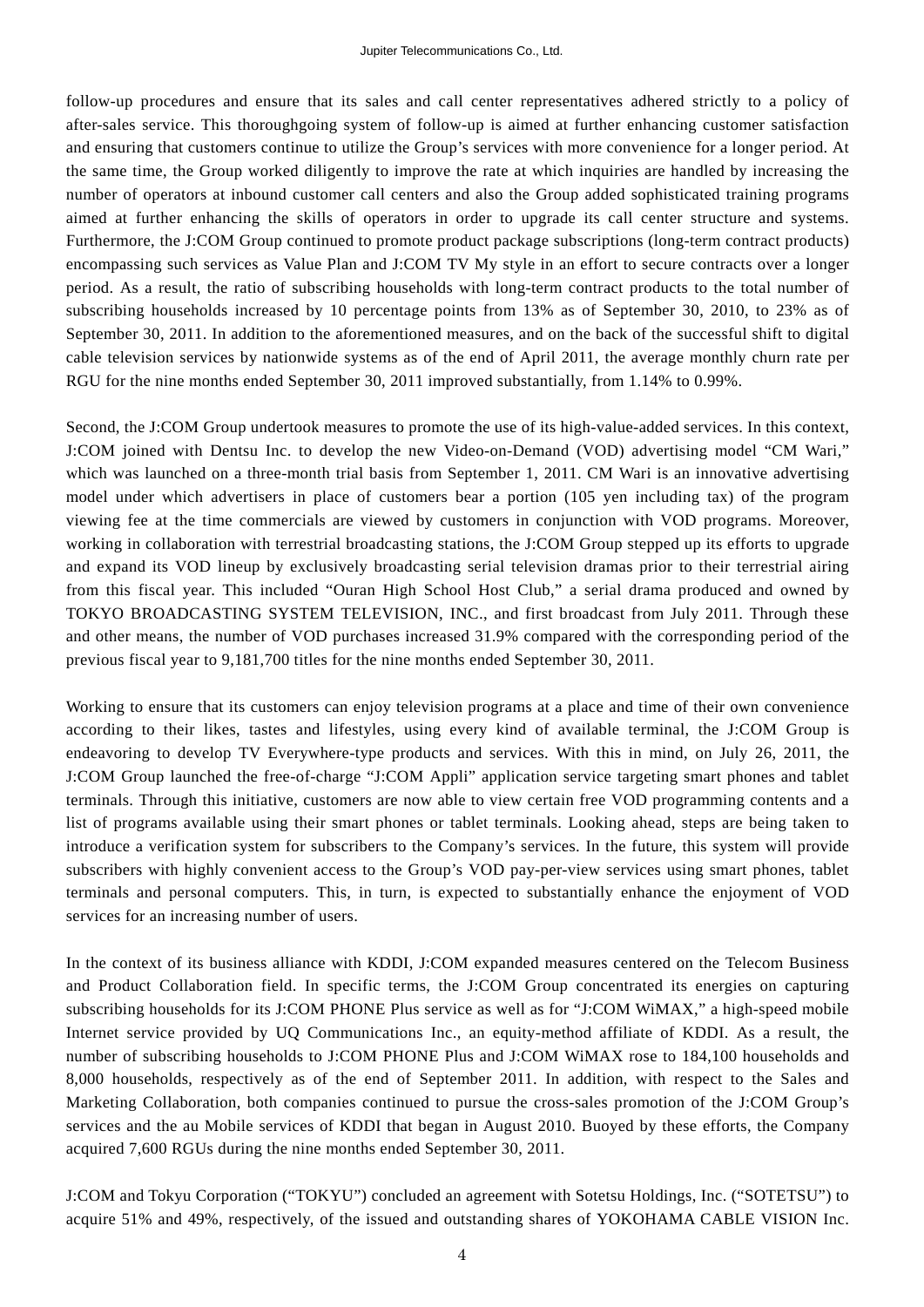follow-up procedures and ensure that its sales and call center representatives adhered strictly to a policy of after-sales service. This thoroughgoing system of follow-up is aimed at further enhancing customer satisfaction and ensuring that customers continue to utilize the Group's services with more convenience for a longer period. At the same time, the Group worked diligently to improve the rate at which inquiries are handled by increasing the number of operators at inbound customer call centers and also the Group added sophisticated training programs aimed at further enhancing the skills of operators in order to upgrade its call center structure and systems. Furthermore, the J:COM Group continued to promote product package subscriptions (long-term contract products) encompassing such services as Value Plan and J:COM TV My style in an effort to secure contracts over a longer period. As a result, the ratio of subscribing households with long-term contract products to the total number of subscribing households increased by 10 percentage points from 13% as of September 30, 2010, to 23% as of September 30, 2011. In addition to the aforementioned measures, and on the back of the successful shift to digital cable television services by nationwide systems as of the end of April 2011, the average monthly churn rate per RGU for the nine months ended September 30, 2011 improved substantially, from 1.14% to 0.99%.

Second, the J:COM Group undertook measures to promote the use of its high-value-added services. In this context, J:COM joined with Dentsu Inc. to develop the new Video-on-Demand (VOD) advertising model "CM Wari," which was launched on a three-month trial basis from September 1, 2011. CM Wari is an innovative advertising model under which advertisers in place of customers bear a portion (105 yen including tax) of the program viewing fee at the time commercials are viewed by customers in conjunction with VOD programs. Moreover, working in collaboration with terrestrial broadcasting stations, the J:COM Group stepped up its efforts to upgrade and expand its VOD lineup by exclusively broadcasting serial television dramas prior to their terrestrial airing from this fiscal year. This included "Ouran High School Host Club," a serial drama produced and owned by TOKYO BROADCASTING SYSTEM TELEVISION, INC., and first broadcast from July 2011. Through these and other means, the number of VOD purchases increased 31.9% compared with the corresponding period of the previous fiscal year to 9,181,700 titles for the nine months ended September 30, 2011.

Working to ensure that its customers can enjoy television programs at a place and time of their own convenience according to their likes, tastes and lifestyles, using every kind of available terminal, the J:COM Group is endeavoring to develop TV Everywhere-type products and services. With this in mind, on July 26, 2011, the J:COM Group launched the free-of-charge "J:COM Appli" application service targeting smart phones and tablet terminals. Through this initiative, customers are now able to view certain free VOD programming contents and a list of programs available using their smart phones or tablet terminals. Looking ahead, steps are being taken to introduce a verification system for subscribers to the Company's services. In the future, this system will provide subscribers with highly convenient access to the Group's VOD pay-per-view services using smart phones, tablet terminals and personal computers. This, in turn, is expected to substantially enhance the enjoyment of VOD services for an increasing number of users.

In the context of its business alliance with KDDI, J:COM expanded measures centered on the Telecom Business and Product Collaboration field. In specific terms, the J:COM Group concentrated its energies on capturing subscribing households for its J:COM PHONE Plus service as well as for "J:COM WiMAX," a high-speed mobile Internet service provided by UQ Communications Inc., an equity-method affiliate of KDDI. As a result, the number of subscribing households to J:COM PHONE Plus and J:COM WiMAX rose to 184,100 households and 8,000 households, respectively as of the end of September 2011. In addition, with respect to the Sales and Marketing Collaboration, both companies continued to pursue the cross-sales promotion of the J:COM Group's services and the au Mobile services of KDDI that began in August 2010. Buoyed by these efforts, the Company acquired 7,600 RGUs during the nine months ended September 30, 2011.

J:COM and Tokyu Corporation ("TOKYU") concluded an agreement with Sotetsu Holdings, Inc. ("SOTETSU") to acquire 51% and 49%, respectively, of the issued and outstanding shares of YOKOHAMA CABLE VISION Inc.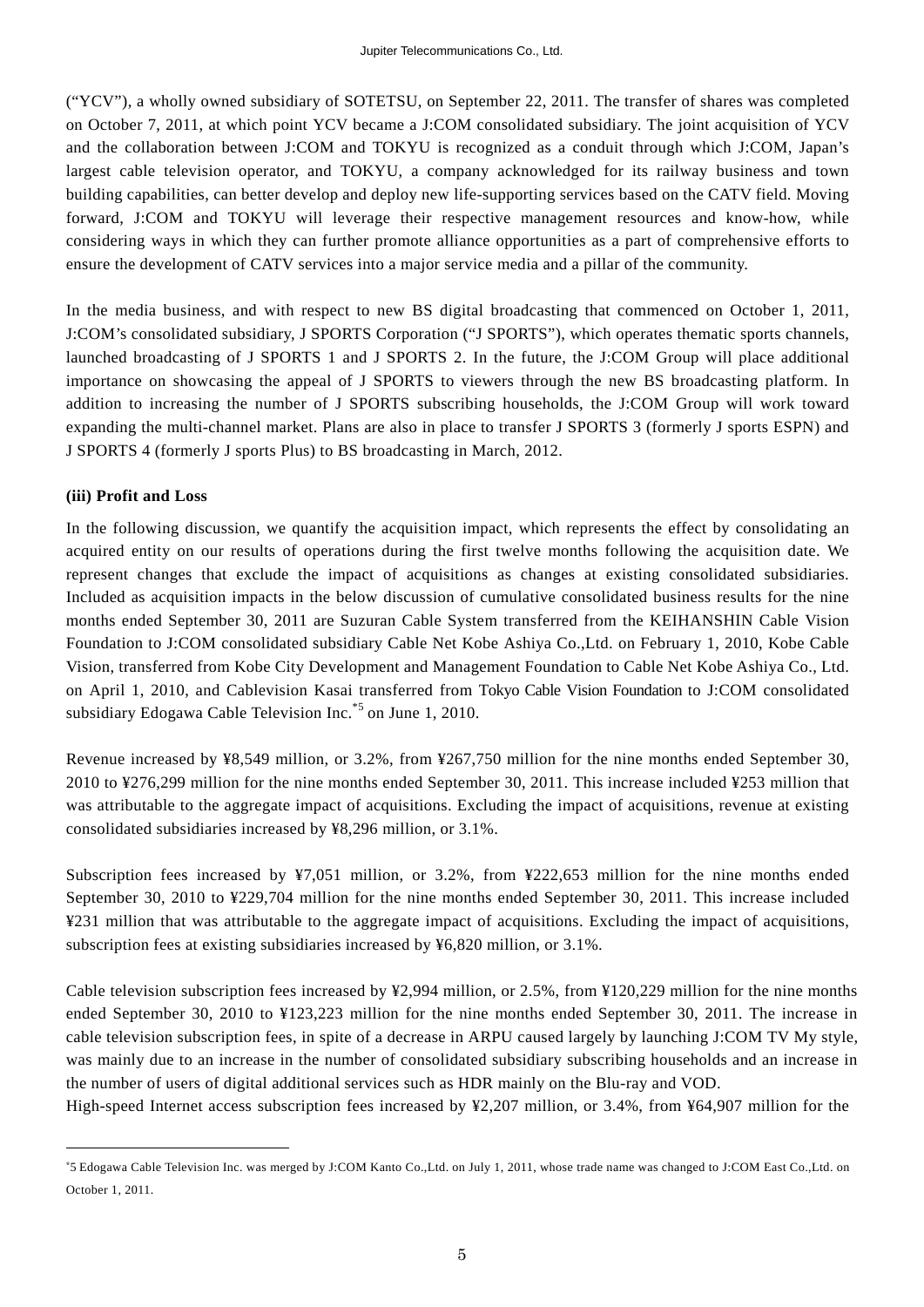("YCV"), a wholly owned subsidiary of SOTETSU, on September 22, 2011. The transfer of shares was completed on October 7, 2011, at which point YCV became a J:COM consolidated subsidiary. The joint acquisition of YCV and the collaboration between J:COM and TOKYU is recognized as a conduit through which J:COM, Japan's largest cable television operator, and TOKYU, a company acknowledged for its railway business and town building capabilities, can better develop and deploy new life-supporting services based on the CATV field. Moving forward, J:COM and TOKYU will leverage their respective management resources and know-how, while considering ways in which they can further promote alliance opportunities as a part of comprehensive efforts to ensure the development of CATV services into a major service media and a pillar of the community.

In the media business, and with respect to new BS digital broadcasting that commenced on October 1, 2011, J:COM's consolidated subsidiary, J SPORTS Corporation ("J SPORTS"), which operates thematic sports channels, launched broadcasting of J SPORTS 1 and J SPORTS 2. In the future, the J:COM Group will place additional importance on showcasing the appeal of J SPORTS to viewers through the new BS broadcasting platform. In addition to increasing the number of J SPORTS subscribing households, the J:COM Group will work toward expanding the multi-channel market. Plans are also in place to transfer J SPORTS 3 (formerly J sports ESPN) and J SPORTS 4 (formerly J sports Plus) to BS broadcasting in March, 2012.

#### **(iii) Profit and Loss**

 $\overline{a}$ 

In the following discussion, we quantify the acquisition impact, which represents the effect by consolidating an acquired entity on our results of operations during the first twelve months following the acquisition date. We represent changes that exclude the impact of acquisitions as changes at existing consolidated subsidiaries. Included as acquisition impacts in the below discussion of cumulative consolidated business results for the nine months ended September 30, 2011 are Suzuran Cable System transferred from the KEIHANSHIN Cable Vision Foundation to J:COM consolidated subsidiary Cable Net Kobe Ashiya Co.,Ltd. on February 1, 2010, Kobe Cable Vision, transferred from Kobe City Development and Management Foundation to Cable Net Kobe Ashiya Co., Ltd. on April 1, 2010, and Cablevision Kasai transferred from Tokyo Cable Vision Foundation to J:COM consolidated subsidiary Edogawa Cable Television Inc.<sup>\*5</sup> on June 1, 2010.

Revenue increased by ¥8,549 million, or 3.2%, from ¥267,750 million for the nine months ended September 30, 2010 to ¥276,299 million for the nine months ended September 30, 2011. This increase included ¥253 million that was attributable to the aggregate impact of acquisitions. Excluding the impact of acquisitions, revenue at existing consolidated subsidiaries increased by ¥8,296 million, or 3.1%.

Subscription fees increased by ¥7,051 million, or 3.2%, from ¥222,653 million for the nine months ended September 30, 2010 to ¥229,704 million for the nine months ended September 30, 2011. This increase included ¥231 million that was attributable to the aggregate impact of acquisitions. Excluding the impact of acquisitions, subscription fees at existing subsidiaries increased by ¥6,820 million, or 3.1%.

Cable television subscription fees increased by  $\frac{42,994}{2}$  million, or 2.5%, from  $\frac{4120,229}{2}$  million for the nine months ended September 30, 2010 to ¥123,223 million for the nine months ended September 30, 2011. The increase in cable television subscription fees, in spite of a decrease in ARPU caused largely by launching J:COM TV My style, was mainly due to an increase in the number of consolidated subsidiary subscribing households and an increase in the number of users of digital additional services such as HDR mainly on the Blu-ray and VOD.

High-speed Internet access subscription fees increased by ¥2,207 million, or 3.4%, from ¥64,907 million for the

<sup>\*</sup>5 Edogawa Cable Television Inc. was merged by J:COM Kanto Co.,Ltd. on July 1, 2011, whose trade name was changed to J:COM East Co.,Ltd. on October 1, 2011.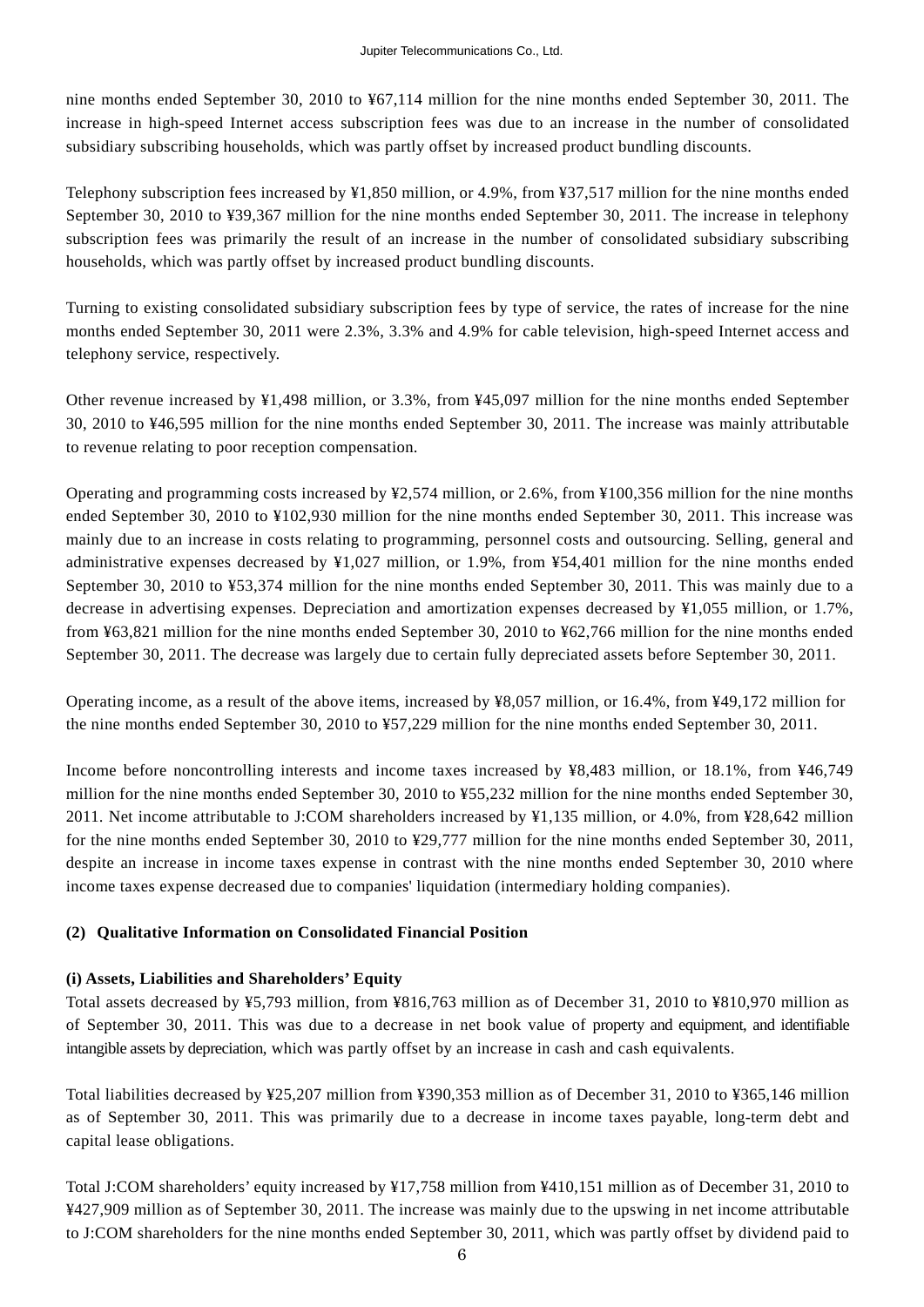nine months ended September 30, 2010 to ¥67,114 million for the nine months ended September 30, 2011. The increase in high-speed Internet access subscription fees was due to an increase in the number of consolidated subsidiary subscribing households, which was partly offset by increased product bundling discounts.

Telephony subscription fees increased by ¥1,850 million, or 4.9%, from ¥37,517 million for the nine months ended September 30, 2010 to ¥39,367 million for the nine months ended September 30, 2011. The increase in telephony subscription fees was primarily the result of an increase in the number of consolidated subsidiary subscribing households, which was partly offset by increased product bundling discounts.

Turning to existing consolidated subsidiary subscription fees by type of service, the rates of increase for the nine months ended September 30, 2011 were 2.3%, 3.3% and 4.9% for cable television, high-speed Internet access and telephony service, respectively.

Other revenue increased by ¥1,498 million, or 3.3%, from ¥45,097 million for the nine months ended September 30, 2010 to ¥46,595 million for the nine months ended September 30, 2011. The increase was mainly attributable to revenue relating to poor reception compensation.

Operating and programming costs increased by ¥2,574 million, or 2.6%, from ¥100,356 million for the nine months ended September 30, 2010 to ¥102,930 million for the nine months ended September 30, 2011. This increase was mainly due to an increase in costs relating to programming, personnel costs and outsourcing. Selling, general and administrative expenses decreased by ¥1,027 million, or 1.9%, from ¥54,401 million for the nine months ended September 30, 2010 to ¥53,374 million for the nine months ended September 30, 2011. This was mainly due to a decrease in advertising expenses. Depreciation and amortization expenses decreased by ¥1,055 million, or 1.7%, from ¥63,821 million for the nine months ended September 30, 2010 to ¥62,766 million for the nine months ended September 30, 2011. The decrease was largely due to certain fully depreciated assets before September 30, 2011.

Operating income, as a result of the above items, increased by ¥8,057 million, or 16.4%, from ¥49,172 million for the nine months ended September 30, 2010 to ¥57,229 million for the nine months ended September 30, 2011.

Income before noncontrolling interests and income taxes increased by ¥8,483 million, or 18.1%, from ¥46,749 million for the nine months ended September 30, 2010 to ¥55,232 million for the nine months ended September 30, 2011. Net income attributable to J:COM shareholders increased by ¥1,135 million, or 4.0%, from ¥28,642 million for the nine months ended September 30, 2010 to ¥29,777 million for the nine months ended September 30, 2011, despite an increase in income taxes expense in contrast with the nine months ended September 30, 2010 where income taxes expense decreased due to companies' liquidation (intermediary holding companies).

#### **(2) Qualitative Information on Consolidated Financial Position**

#### **(i) Assets, Liabilities and Shareholders' Equity**

Total assets decreased by ¥5,793 million, from ¥816,763 million as of December 31, 2010 to ¥810,970 million as of September 30, 2011. This was due to a decrease in net book value of property and equipment, and identifiable intangible assets by depreciation, which was partly offset by an increase in cash and cash equivalents.

Total liabilities decreased by ¥25,207 million from ¥390,353 million as of December 31, 2010 to ¥365,146 million as of September 30, 2011. This was primarily due to a decrease in income taxes payable, long-term debt and capital lease obligations.

Total J:COM shareholders' equity increased by ¥17,758 million from ¥410,151 million as of December 31, 2010 to ¥427,909 million as of September 30, 2011. The increase was mainly due to the upswing in net income attributable to J:COM shareholders for the nine months ended September 30, 2011, which was partly offset by dividend paid to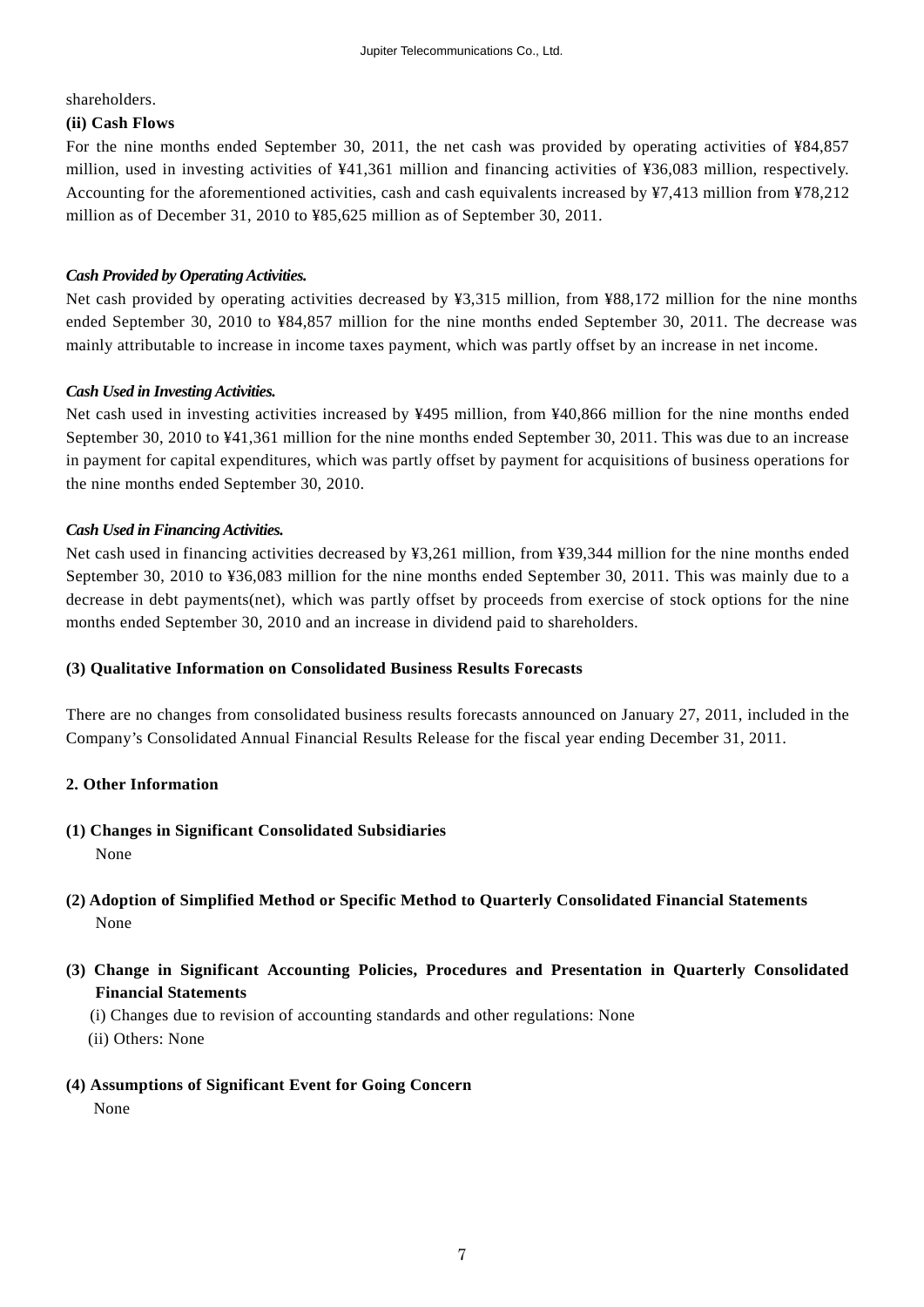shareholders.

#### **(ii) Cash Flows**

For the nine months ended September 30, 2011, the net cash was provided by operating activities of ¥84,857 million, used in investing activities of ¥41,361 million and financing activities of ¥36,083 million, respectively. Accounting for the aforementioned activities, cash and cash equivalents increased by ¥7,413 million from ¥78,212 million as of December 31, 2010 to ¥85,625 million as of September 30, 2011.

#### *Cash Provided by Operating Activities.*

Net cash provided by operating activities decreased by ¥3,315 million, from ¥88,172 million for the nine months ended September 30, 2010 to ¥84,857 million for the nine months ended September 30, 2011. The decrease was mainly attributable to increase in income taxes payment, which was partly offset by an increase in net income.

#### *Cash Used in Investing Activities.*

Net cash used in investing activities increased by ¥495 million, from ¥40,866 million for the nine months ended September 30, 2010 to ¥41,361 million for the nine months ended September 30, 2011. This was due to an increase in payment for capital expenditures, which was partly offset by payment for acquisitions of business operations for the nine months ended September 30, 2010.

#### *Cash Used in Financing Activities.*

Net cash used in financing activities decreased by ¥3,261 million, from ¥39,344 million for the nine months ended September 30, 2010 to ¥36,083 million for the nine months ended September 30, 2011. This was mainly due to a decrease in debt payments(net), which was partly offset by proceeds from exercise of stock options for the nine months ended September 30, 2010 and an increase in dividend paid to shareholders.

#### **(3) Qualitative Information on Consolidated Business Results Forecasts**

There are no changes from consolidated business results forecasts announced on January 27, 2011, included in the Company's Consolidated Annual Financial Results Release for the fiscal year ending December 31, 2011.

#### **2. Other Information**

**(1) Changes in Significant Consolidated Subsidiaries**  None

### **(2) Adoption of Simplified Method or Specific Method to Quarterly Consolidated Financial Statements**  None

### **(3) Change in Significant Accounting Policies, Procedures and Presentation in Quarterly Consolidated Financial Statements**

- (i) Changes due to revision of accounting standards and other regulations: None
- (ii) Others: None
- **(4) Assumptions of Significant Event for Going Concern**

None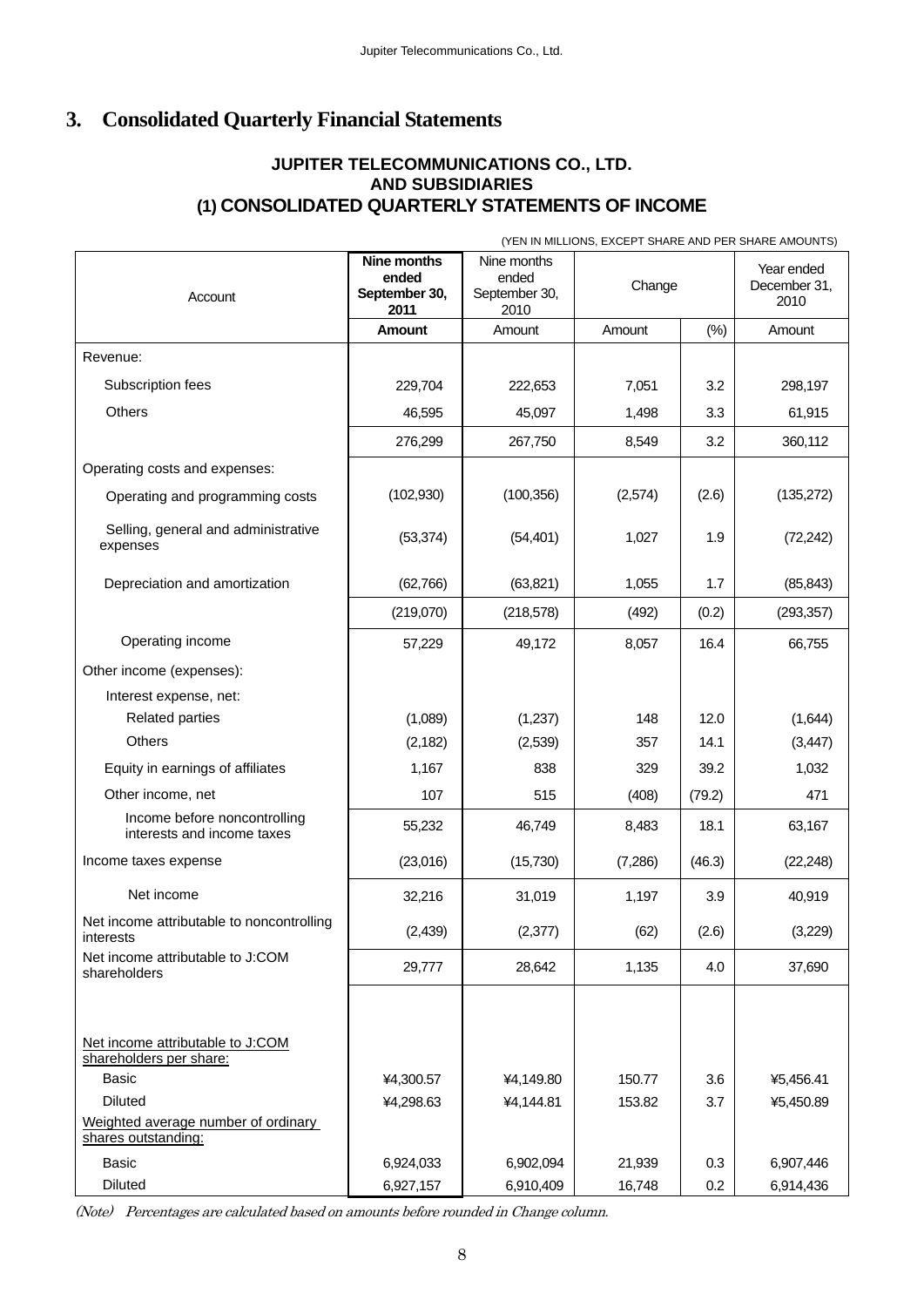# **3. Consolidated Quarterly Financial Statements**

# **JUPITER TELECOMMUNICATIONS CO., LTD. AND SUBSIDIARIES (1) CONSOLIDATED QUARTERLY STATEMENTS OF INCOME**

(YEN IN MILLIONS, EXCEPT SHARE AND PER SHARE AMOUNTS)

| Account                                                     | Nine months<br>ended<br>September 30,<br>2011 | Nine months<br>ended<br>September 30,<br>2010 | Change  |        | Year ended<br>December 31,<br>2010 |
|-------------------------------------------------------------|-----------------------------------------------|-----------------------------------------------|---------|--------|------------------------------------|
|                                                             | <b>Amount</b>                                 | Amount                                        | Amount  | (% )   | Amount                             |
| Revenue:                                                    |                                               |                                               |         |        |                                    |
| Subscription fees                                           | 229,704                                       | 222,653                                       | 7,051   | 3.2    | 298,197                            |
| Others                                                      | 46,595                                        | 45,097                                        | 1,498   | 3.3    | 61,915                             |
|                                                             | 276,299                                       | 267,750                                       | 8,549   | 3.2    | 360,112                            |
| Operating costs and expenses:                               |                                               |                                               |         |        |                                    |
| Operating and programming costs                             | (102, 930)                                    | (100, 356)                                    | (2,574) | (2.6)  | (135,272)                          |
| Selling, general and administrative<br>expenses             | (53, 374)                                     | (54, 401)                                     | 1,027   | 1.9    | (72, 242)                          |
| Depreciation and amortization                               | (62, 766)                                     | (63, 821)                                     | 1,055   | 1.7    | (85, 843)                          |
|                                                             | (219,070)                                     | (218, 578)                                    | (492)   | (0.2)  | (293, 357)                         |
| Operating income                                            | 57,229                                        | 49,172                                        | 8,057   | 16.4   | 66,755                             |
| Other income (expenses):                                    |                                               |                                               |         |        |                                    |
| Interest expense, net:                                      |                                               |                                               |         |        |                                    |
| <b>Related parties</b>                                      | (1,089)                                       | (1,237)                                       | 148     | 12.0   | (1,644)                            |
| <b>Others</b>                                               | (2, 182)                                      | (2,539)                                       | 357     | 14.1   | (3, 447)                           |
| Equity in earnings of affiliates                            | 1,167                                         | 838                                           | 329     | 39.2   | 1,032                              |
| Other income, net                                           | 107                                           | 515                                           | (408)   | (79.2) | 471                                |
| Income before noncontrolling<br>interests and income taxes  | 55,232                                        | 46,749                                        | 8,483   | 18.1   | 63,167                             |
| Income taxes expense                                        | (23,016)                                      | (15, 730)                                     | (7,286) | (46.3) | (22, 248)                          |
| Net income                                                  | 32,216                                        | 31,019                                        | 1,197   | 3.9    | 40,919                             |
| Net income attributable to noncontrolling<br>interests      | (2, 439)                                      | (2, 377)                                      | (62)    | (2.6)  | (3,229)                            |
| Net income attributable to J:COM<br>shareholders            | 29,777                                        | 28,642                                        | 1,135   | 4.0    | 37,690                             |
|                                                             |                                               |                                               |         |        |                                    |
| Net income attributable to J:COM<br>shareholders per share: |                                               |                                               |         |        |                                    |
| <b>Basic</b>                                                | ¥4,300.57                                     | ¥4,149.80                                     | 150.77  | 3.6    | ¥5,456.41                          |
| <b>Diluted</b>                                              | ¥4,298.63                                     | ¥4,144.81                                     | 153.82  | 3.7    | ¥5,450.89                          |
| Weighted average number of ordinary<br>shares outstanding:  |                                               |                                               |         |        |                                    |
| <b>Basic</b>                                                | 6,924,033                                     | 6,902,094                                     | 21,939  | 0.3    | 6,907,446                          |
| <b>Diluted</b>                                              | 6,927,157                                     | 6,910,409                                     | 16,748  | 0.2    | 6,914,436                          |

(Note) Percentages are calculated based on amounts before rounded in Change column.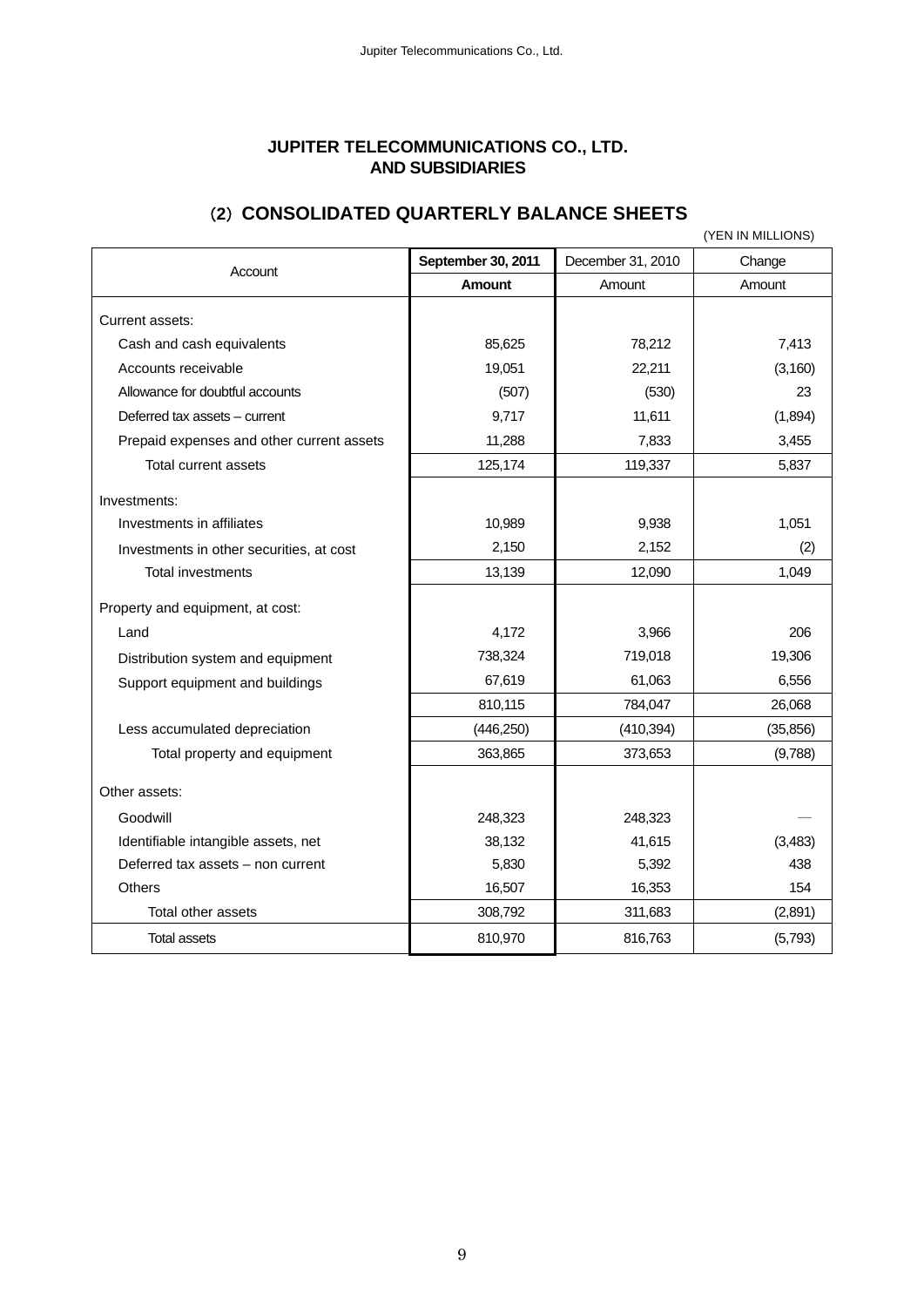## **JUPITER TELECOMMUNICATIONS CO., LTD. AND SUBSIDIARIES**

# (**2**) **CONSOLIDATED QUARTERLY BALANCE SHEETS**

|                                           |                    |                   | (YEN IN MILLIONS) |
|-------------------------------------------|--------------------|-------------------|-------------------|
| Account                                   | September 30, 2011 | December 31, 2010 | Change            |
|                                           | <b>Amount</b>      | Amount            | Amount            |
| Current assets:                           |                    |                   |                   |
| Cash and cash equivalents                 | 85,625             | 78,212            | 7,413             |
| Accounts receivable                       | 19,051             | 22,211            | (3, 160)          |
| Allowance for doubtful accounts           | (507)              | (530)             | 23                |
| Deferred tax assets - current             | 9,717              | 11,611            | (1,894)           |
| Prepaid expenses and other current assets | 11,288             | 7,833             | 3,455             |
| Total current assets                      | 125,174            | 119,337           | 5,837             |
| Investments:                              |                    |                   |                   |
| Investments in affiliates                 | 10,989             | 9,938             | 1,051             |
| Investments in other securities, at cost  | 2,150              | 2,152             | (2)               |
| <b>Total investments</b>                  | 13,139             | 12,090            | 1,049             |
| Property and equipment, at cost:          |                    |                   |                   |
| Land                                      | 4,172              | 3,966             | 206               |
| Distribution system and equipment         | 738,324            | 719,018           | 19,306            |
| Support equipment and buildings           | 67,619             | 61,063            | 6,556             |
|                                           | 810,115            | 784,047           | 26,068            |
| Less accumulated depreciation             | (446, 250)         | (410, 394)        | (35, 856)         |
| Total property and equipment              | 363,865            | 373,653           | (9,788)           |
| Other assets:                             |                    |                   |                   |
| Goodwill                                  | 248,323            | 248,323           |                   |
| Identifiable intangible assets, net       | 38,132             | 41,615            | (3, 483)          |
| Deferred tax assets - non current         | 5,830              | 5,392             | 438               |
| <b>Others</b>                             | 16,507             | 16,353            | 154               |
| Total other assets                        | 308,792            | 311,683           | (2,891)           |
| <b>Total assets</b>                       | 810,970            | 816,763           | (5,793)           |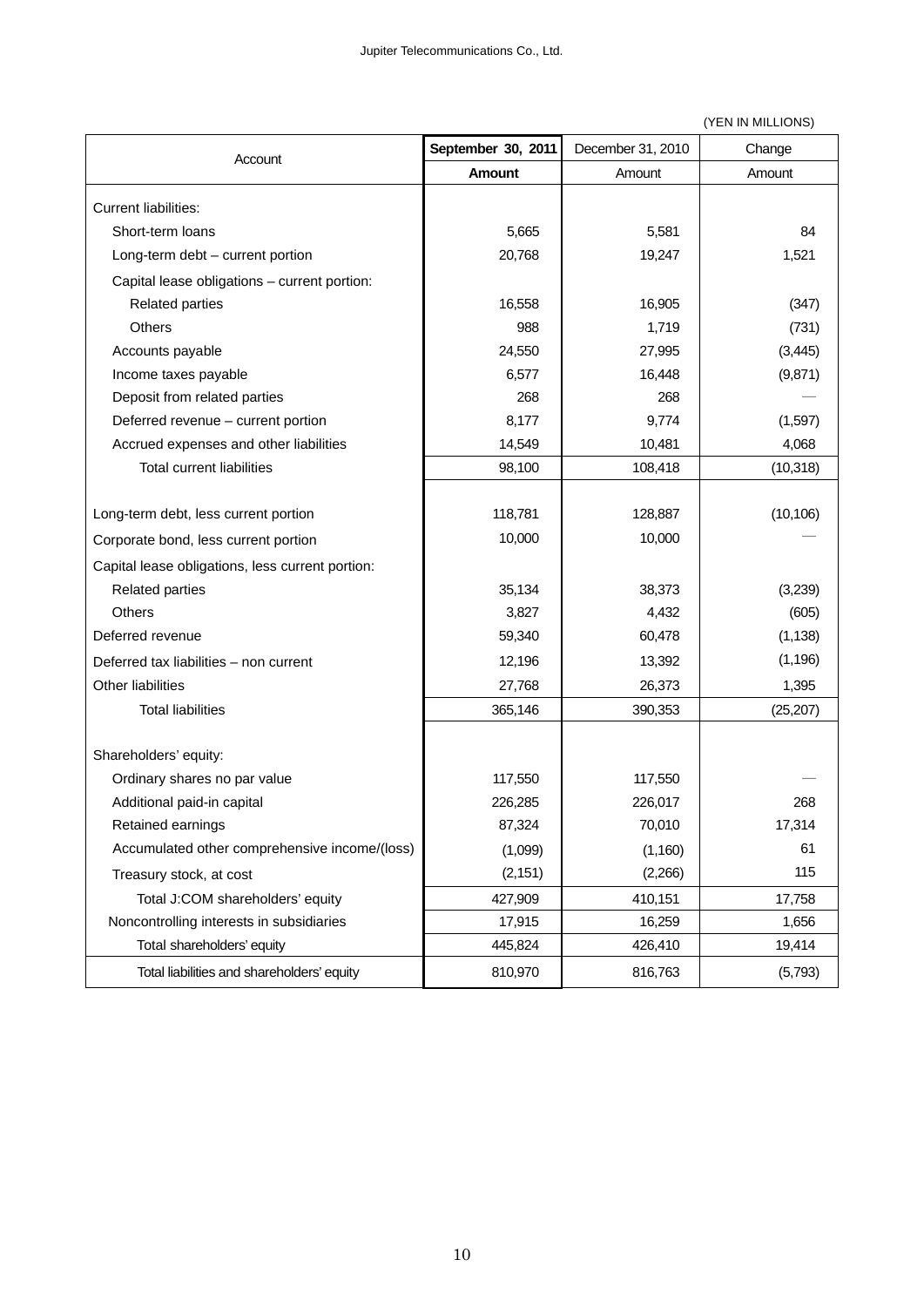(YEN IN MILLIONS)

| Account                                          | September 30, 2011 | December 31, 2010 | Change    |  |
|--------------------------------------------------|--------------------|-------------------|-----------|--|
|                                                  | <b>Amount</b>      | Amount            | Amount    |  |
| <b>Current liabilities:</b>                      |                    |                   |           |  |
| Short-term loans                                 | 5,665              | 5,581             | 84        |  |
| Long-term debt - current portion                 | 20,768             | 19,247            | 1,521     |  |
| Capital lease obligations - current portion:     |                    |                   |           |  |
| <b>Related parties</b>                           | 16,558             | 16,905            | (347)     |  |
| <b>Others</b>                                    | 988                | 1,719             | (731)     |  |
| Accounts payable                                 | 24,550             | 27,995            | (3, 445)  |  |
| Income taxes payable                             | 6,577              | 16,448            | (9,871)   |  |
| Deposit from related parties                     | 268                | 268               |           |  |
| Deferred revenue - current portion               | 8,177              | 9,774             | (1,597)   |  |
| Accrued expenses and other liabilities           | 14,549             | 10,481            | 4,068     |  |
| <b>Total current liabilities</b>                 | 98,100             | 108,418           | (10, 318) |  |
|                                                  |                    |                   |           |  |
| Long-term debt, less current portion             | 118,781            | 128,887           | (10, 106) |  |
| Corporate bond, less current portion             | 10,000             | 10,000            |           |  |
| Capital lease obligations, less current portion: |                    |                   |           |  |
| <b>Related parties</b>                           | 35,134             | 38,373            | (3,239)   |  |
| <b>Others</b>                                    | 3,827              | 4,432             | (605)     |  |
| Deferred revenue                                 | 59,340             | 60,478            | (1, 138)  |  |
| Deferred tax liabilities - non current           | 12,196             | 13,392            | (1, 196)  |  |
| Other liabilities                                | 27,768             | 26,373            | 1,395     |  |
| <b>Total liabilities</b>                         | 365,146            | 390,353           | (25, 207) |  |
|                                                  |                    |                   |           |  |
| Shareholders' equity:                            |                    |                   |           |  |
| Ordinary shares no par value                     | 117,550            | 117,550           |           |  |
| Additional paid-in capital                       | 226,285            | 226,017           | 268       |  |
| Retained earnings                                | 87,324             | 70,010            | 17,314    |  |
| Accumulated other comprehensive income/(loss)    | (1,099)            | (1,160)           | 61        |  |
| Treasury stock, at cost                          | (2, 151)           | (2,266)           | 115       |  |
| Total J:COM shareholders' equity                 | 427,909            | 410,151           | 17,758    |  |
| Noncontrolling interests in subsidiaries         | 17,915             | 16,259            | 1,656     |  |
| Total shareholders' equity                       | 445,824            | 426,410           | 19,414    |  |
| Total liabilities and shareholders' equity       | 810,970            | 816,763           | (5,793)   |  |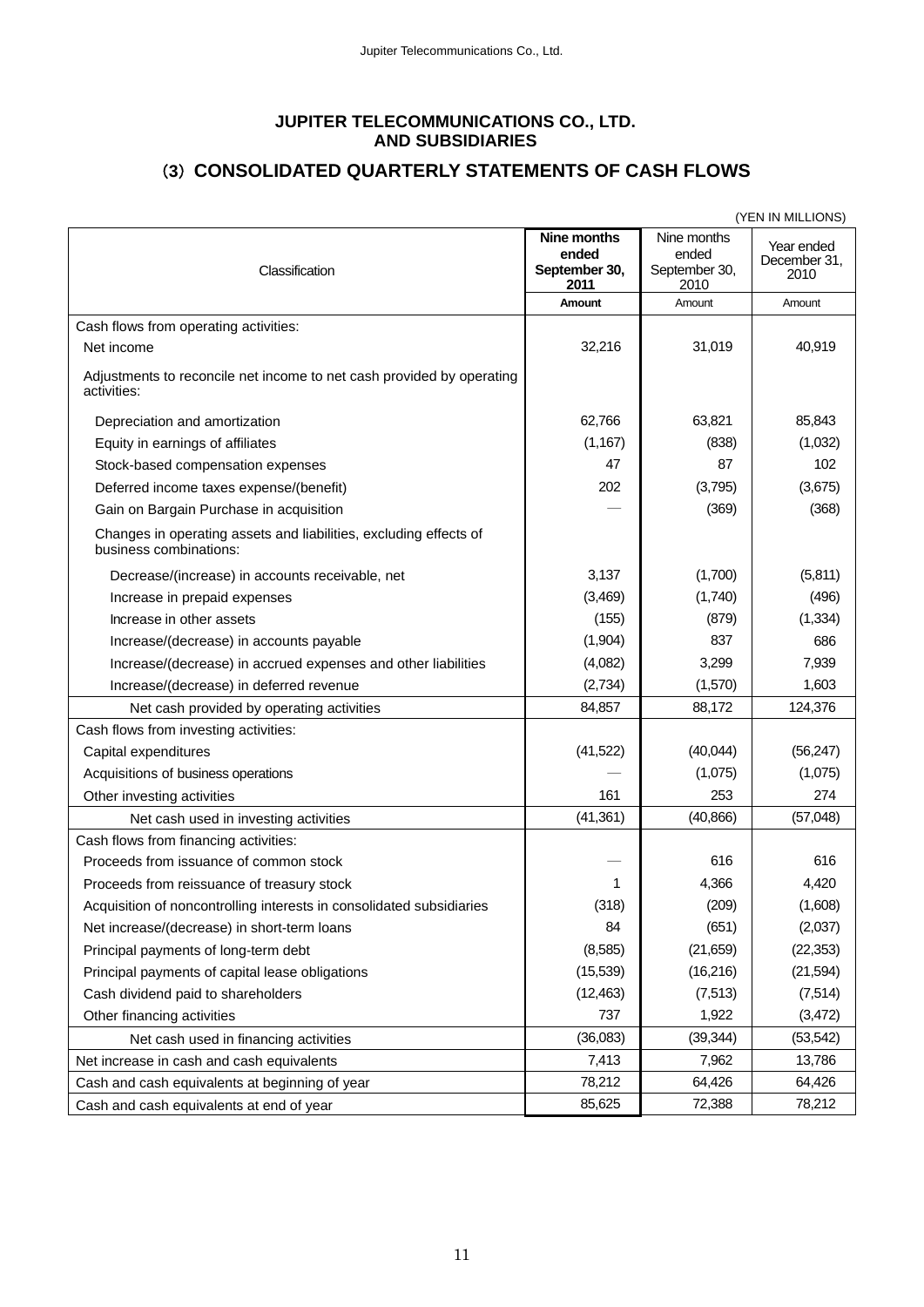#### **JUPITER TELECOMMUNICATIONS CO., LTD. AND SUBSIDIARIES**

# (**3**) **CONSOLIDATED QUARTERLY STATEMENTS OF CASH FLOWS**

|                                                                                             |                                               |                                               | (YEN IN MILLIONS)                  |
|---------------------------------------------------------------------------------------------|-----------------------------------------------|-----------------------------------------------|------------------------------------|
| Classification                                                                              | Nine months<br>ended<br>September 30,<br>2011 | Nine months<br>ended<br>September 30,<br>2010 | Year ended<br>December 31,<br>2010 |
|                                                                                             | <b>Amount</b>                                 | Amount                                        | Amount                             |
| Cash flows from operating activities:                                                       |                                               |                                               |                                    |
| Net income                                                                                  | 32,216                                        | 31,019                                        | 40,919                             |
| Adjustments to reconcile net income to net cash provided by operating<br>activities:        |                                               |                                               |                                    |
| Depreciation and amortization                                                               | 62,766                                        | 63,821                                        | 85,843                             |
| Equity in earnings of affiliates                                                            | (1, 167)                                      | (838)                                         | (1,032)                            |
| Stock-based compensation expenses                                                           | 47                                            | 87                                            | 102                                |
| Deferred income taxes expense/(benefit)                                                     | 202                                           | (3,795)                                       | (3,675)                            |
| Gain on Bargain Purchase in acquisition                                                     |                                               | (369)                                         | (368)                              |
| Changes in operating assets and liabilities, excluding effects of<br>business combinations: |                                               |                                               |                                    |
| Decrease/(increase) in accounts receivable, net                                             | 3,137                                         | (1,700)                                       | (5,811)                            |
| Increase in prepaid expenses                                                                | (3,469)                                       | (1,740)                                       | (496)                              |
| Increase in other assets                                                                    | (155)                                         | (879)                                         | (1, 334)                           |
| Increase/(decrease) in accounts payable                                                     | (1,904)                                       | 837                                           | 686                                |
| Increase/(decrease) in accrued expenses and other liabilities                               | (4,082)                                       | 3,299                                         | 7,939                              |
| Increase/(decrease) in deferred revenue                                                     | (2,734)                                       | (1,570)                                       | 1,603                              |
| Net cash provided by operating activities                                                   | 84,857                                        | 88,172                                        | 124,376                            |
| Cash flows from investing activities:                                                       |                                               |                                               |                                    |
| Capital expenditures                                                                        | (41, 522)                                     | (40, 044)                                     | (56, 247)                          |
| Acquisitions of business operations                                                         |                                               | (1,075)                                       | (1,075)                            |
| Other investing activities                                                                  | 161                                           | 253                                           | 274                                |
| Net cash used in investing activities                                                       | (41, 361)                                     | (40, 866)                                     | (57,048)                           |
| Cash flows from financing activities:                                                       |                                               |                                               |                                    |
| Proceeds from issuance of common stock                                                      |                                               | 616                                           | 616                                |
| Proceeds from reissuance of treasury stock                                                  | 1                                             | 4,366                                         | 4,420                              |
| Acquisition of noncontrolling interests in consolidated subsidiaries                        | (318)                                         | (209)                                         | (1,608)                            |
| Net increase/(decrease) in short-term loans                                                 | 84                                            | (651)                                         | (2,037)                            |
| Principal payments of long-term debt                                                        | (8,585)                                       | (21, 659)                                     | (22, 353)                          |
| Principal payments of capital lease obligations                                             | (15, 539)                                     | (16, 216)                                     | (21, 594)                          |
| Cash dividend paid to shareholders                                                          | (12, 463)                                     | (7, 513)                                      | (7, 514)                           |
| Other financing activities                                                                  | 737                                           | 1,922                                         | (3, 472)                           |
| Net cash used in financing activities                                                       | (36,083)                                      | (39, 344)                                     | (53, 542)                          |
| Net increase in cash and cash equivalents                                                   | 7,413                                         | 7,962                                         | 13,786                             |
| Cash and cash equivalents at beginning of year                                              | 78,212                                        | 64,426                                        | 64,426                             |
| Cash and cash equivalents at end of year                                                    | 85,625                                        | 72,388                                        | 78,212                             |